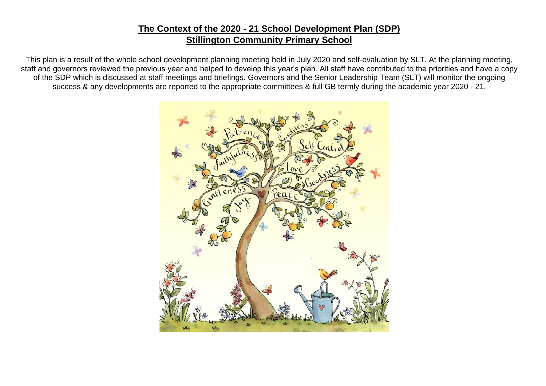### **The Context of the 2020 - 21 School Development Plan (SDP) Stillington Community Primary School**

This plan is a result of the whole school development planning meeting held in July 2020 and self-evaluation by SLT. At the planning meeting, staff and governors reviewed the previous year and helped to develop this year's plan. All staff have contributed to the priorities and have a copy of the SDP which is discussed at staff meetings and briefings. Governors and the Senior Leadership Team (SLT) will monitor the ongoing success & any developments are reported to the appropriate committees & full GB termly during the academic year 2020 - 21.

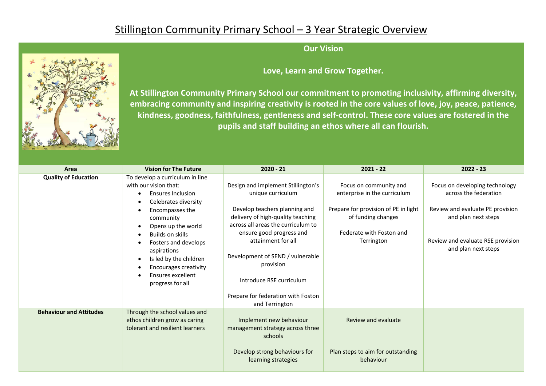# Stillington Community Primary School – 3 Year Strategic Overview



**Love, Learn and Grow Together.**

**At Stillington Community Primary School our commitment to promoting inclusivity, affirming diversity, embracing community and inspiring creativity is rooted in the core values of love, joy, peace, patience, kindness, goodness, faithfulness, gentleness and self-control. These core values are fostered in the pupils and staff building an ethos where all can flourish.**

| Area                           | <b>Vision for The Future</b>                                                                                                                                                                                                                                                                                                                   | $2020 - 21$                                                                                                                                                                                                                                                                                                                                                | $2021 - 22$                                                                                                                                                    | $2022 - 23$                                                                                                                                                                    |
|--------------------------------|------------------------------------------------------------------------------------------------------------------------------------------------------------------------------------------------------------------------------------------------------------------------------------------------------------------------------------------------|------------------------------------------------------------------------------------------------------------------------------------------------------------------------------------------------------------------------------------------------------------------------------------------------------------------------------------------------------------|----------------------------------------------------------------------------------------------------------------------------------------------------------------|--------------------------------------------------------------------------------------------------------------------------------------------------------------------------------|
| <b>Quality of Education</b>    | To develop a curriculum in line<br>with our vision that:<br><b>Ensures Inclusion</b><br>Celebrates diversity<br>Encompasses the<br>community<br>Opens up the world<br><b>Builds on skills</b><br>Fosters and develops<br>aspirations<br>Is led by the children<br><b>Encourages creativity</b><br><b>Ensures excellent</b><br>progress for all | Design and implement Stillington's<br>unique curriculum<br>Develop teachers planning and<br>delivery of high-quality teaching<br>across all areas the curriculum to<br>ensure good progress and<br>attainment for all<br>Development of SEND / vulnerable<br>provision<br>Introduce RSE curriculum<br>Prepare for federation with Foston<br>and Terrington | Focus on community and<br>enterprise in the curriculum<br>Prepare for provision of PE in light<br>of funding changes<br>Federate with Foston and<br>Terrington | Focus on developing technology<br>across the federation<br>Review and evaluate PE provision<br>and plan next steps<br>Review and evaluate RSE provision<br>and plan next steps |
| <b>Behaviour and Attitudes</b> | Through the school values and<br>ethos children grow as caring<br>tolerant and resilient learners                                                                                                                                                                                                                                              | Implement new behaviour<br>management strategy across three<br>schools<br>Develop strong behaviours for<br>learning strategies                                                                                                                                                                                                                             | Review and evaluate<br>Plan steps to aim for outstanding<br>behaviour                                                                                          |                                                                                                                                                                                |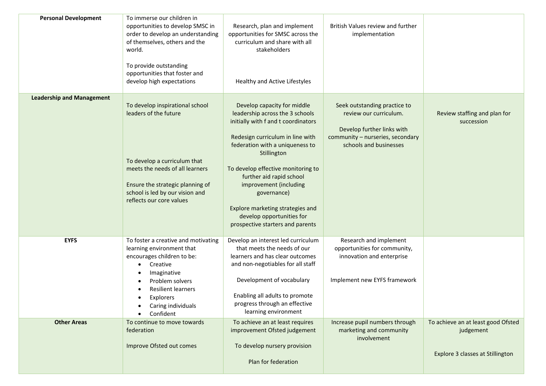| <b>Personal Development</b>      | To immerse our children in<br>opportunities to develop SMSC in<br>order to develop an understanding<br>of themselves, others and the<br>world.<br>To provide outstanding<br>opportunities that foster and<br>develop high expectations | Research, plan and implement<br>opportunities for SMSC across the<br>curriculum and share with all<br>stakeholders<br>Healthy and Active Lifestyles                                                                                                                                                                                                                                                         | British Values review and further<br>implementation                                                                                                |                                                                                     |
|----------------------------------|----------------------------------------------------------------------------------------------------------------------------------------------------------------------------------------------------------------------------------------|-------------------------------------------------------------------------------------------------------------------------------------------------------------------------------------------------------------------------------------------------------------------------------------------------------------------------------------------------------------------------------------------------------------|----------------------------------------------------------------------------------------------------------------------------------------------------|-------------------------------------------------------------------------------------|
| <b>Leadership and Management</b> | To develop inspirational school<br>leaders of the future<br>To develop a curriculum that<br>meets the needs of all learners<br>Ensure the strategic planning of<br>school is led by our vision and<br>reflects our core values         | Develop capacity for middle<br>leadership across the 3 schools<br>initially with f and t coordinators<br>Redesign curriculum in line with<br>federation with a uniqueness to<br>Stillington<br>To develop effective monitoring to<br>further aid rapid school<br>improvement (including<br>governance)<br>Explore marketing strategies and<br>develop opportunities for<br>prospective starters and parents | Seek outstanding practice to<br>review our curriculum.<br>Develop further links with<br>community - nurseries, secondary<br>schools and businesses | Review staffing and plan for<br>succession                                          |
| <b>EYFS</b>                      | To foster a creative and motivating<br>learning environment that<br>encourages children to be:<br>Creative<br>Imaginative<br>Problem solvers<br><b>Resilient learners</b><br>Explorers<br>Caring individuals<br>Confident              | Develop an interest led curriculum<br>that meets the needs of our<br>learners and has clear outcomes<br>and non-negotiables for all staff<br>Development of vocabulary<br>Enabling all adults to promote<br>progress through an effective<br>learning environment                                                                                                                                           | Research and implement<br>opportunities for community,<br>innovation and enterprise<br>Implement new EYFS framework                                |                                                                                     |
| <b>Other Areas</b>               | To continue to move towards<br>federation<br>Improve Ofsted out comes                                                                                                                                                                  | To achieve an at least requires<br>improvement Ofsted judgement<br>To develop nursery provision<br>Plan for federation                                                                                                                                                                                                                                                                                      | Increase pupil numbers through<br>marketing and community<br>involvement                                                                           | To achieve an at least good Ofsted<br>judgement<br>Explore 3 classes at Stillington |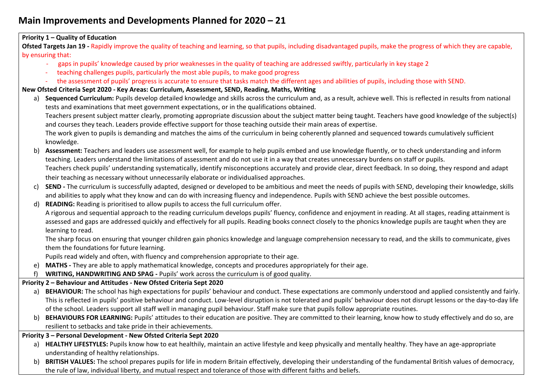## **Main Improvements and Developments Planned for 2020 – 21**

#### **Priority 1 – Quality of Education Ofsted Targets Jan 19 -** Rapidly improve the quality of teaching and learning, so that pupils, including disadvantaged pupils, make the progress of which they are capable, by ensuring that: - gaps in pupils' knowledge caused by prior weaknesses in the quality of teaching are addressed swiftly, particularly in key stage 2 - teaching challenges pupils, particularly the most able pupils, to make good progress - the assessment of pupils' progress is accurate to ensure that tasks match the different ages and abilities of pupils, including those with SEND. **New Ofsted Criteria Sept 2020 - Key Areas: Curriculum, Assessment, SEND, Reading, Maths, Writing** a) Sequenced Curriculum: Pupils develop detailed knowledge and skills across the curriculum and, as a result, achieve well. This is reflected in results from national tests and examinations that meet government expectations, or in the qualifications obtained. Teachers present subject matter clearly, promoting appropriate discussion about the subject matter being taught. Teachers have good knowledge of the subject(s) and courses they teach. Leaders provide effective support for those teaching outside their main areas of expertise. The work given to pupils is demanding and matches the aims of the curriculum in being coherently planned and sequenced towards cumulatively sufficient knowledge. b) **Assessment:** Teachers and leaders use assessment well, for example to help pupils embed and use knowledge fluently, or to check understanding and inform teaching. Leaders understand the limitations of assessment and do not use it in a way that creates unnecessary burdens on staff or pupils. Teachers check pupils' understanding systematically, identify misconceptions accurately and provide clear, direct feedback. In so doing, they respond and adapt their teaching as necessary without unnecessarily elaborate or individualised approaches. c) **SEND -** The curriculum is successfully adapted, designed or developed to be ambitious and meet the needs of pupils with SEND, developing their knowledge, skills and abilities to apply what they know and can do with increasing fluency and independence. Pupils with SEND achieve the best possible outcomes. d) **READING:** Reading is prioritised to allow pupils to access the full curriculum offer. A rigorous and sequential approach to the reading curriculum develops pupils' fluency, confidence and enjoyment in reading. At all stages, reading attainment is assessed and gaps are addressed quickly and effectively for all pupils. Reading books connect closely to the phonics knowledge pupils are taught when they are learning to read. The sharp focus on ensuring that younger children gain phonics knowledge and language comprehension necessary to read, and the skills to communicate, gives them the foundations for future learning. Pupils read widely and often, with fluency and comprehension appropriate to their age. e) **MATHS -** They are able to apply mathematical knowledge, concepts and procedures appropriately for their age. f) **WRITING, HANDWRITING AND SPAG -** Pupils' work across the curriculum is of good quality. **Priority 2 – Behaviour and Attitudes - New Ofsted Criteria Sept 2020** a) **BEHAVIOUR:** The school has high expectations for pupils' behaviour and conduct. These expectations are commonly understood and applied consistently and fairly. This is reflected in pupils' positive behaviour and conduct. Low-level disruption is not tolerated and pupils' behaviour does not disrupt lessons or the day-to-day life of the school. Leaders support all staff well in managing pupil behaviour. Staff make sure that pupils follow appropriate routines. b) BEHAVIOURS FOR LEARNING: Pupils' attitudes to their education are positive. They are committed to their learning, know how to study effectively and do so, are resilient to setbacks and take pride in their achievements. **Priority 3 – Personal Development - New Ofsted Criteria Sept 2020** a) **HEALTHY LIFESTYLES:** Pupils know how to eat healthily, maintain an active lifestyle and keep physically and mentally healthy. They have an age-appropriate understanding of healthy relationships.

b) **BRITISH VALUES:** The school prepares pupils for life in modern Britain effectively, developing their understanding of the fundamental British values of democracy, the rule of law, individual liberty, and mutual respect and tolerance of those with different faiths and beliefs.